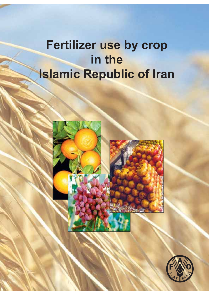# **Fertilizer use by crop in the Islamic Republic of Iran**



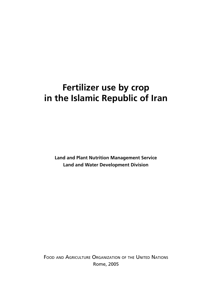## **Fertilizer use by crop in the Islamic Republic of Iran**

**Land and Plant Nutrition Management Service Land and Water Development Division**

FOOD AND AGRICULTURE ORGANIZATION OF THE UNITED NATIONS Rome, 2005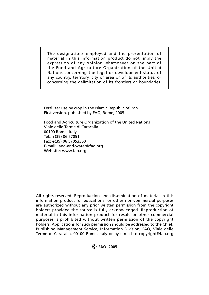The designations employed and the presentation of material in this information product do not imply the expression of any opinion whatsoever on the part of the Food and Agriculture Organization of the United Nations concerning the legal or development status of any country, territory, city or area or of its authorities, or concerning the delimitation of its frontiers or boundaries.

Fertilizer use by crop in the Islamic Republic of Iran First version, published by FAO, Rome, 2005

Food and Agriculture Organization of the United Nations Viale delle Terme di Caracalla 00100 Rome, Italy Tel.: +(39) 06 57051 Fax: +(39) 06 57053360 E-mail: land-and-water@fao.org Web site: www.fao.org

All rights reserved. Reproduction and dissemination of material in this information product for educational or other non-commercial purposes are authorized without any prior written permission from the copyright holders provided the source is fully acknowledged. Reproduction of material in this information product for resale or other commercial purposes is prohibited without written permission of the copyright holders. Applications for such permission should be addressed to the Chief, Publishing Management Service, Information Division, FAO, Viale delle Terme di Caracalla, 00100 Rome, Italy or by e-mail to copyright@fao.org

© **FAO 2005**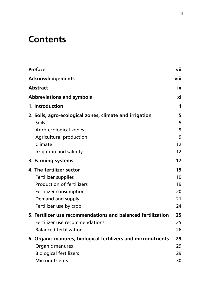## **Contents**

|  | <b>Preface</b>                                                                         |    |  |
|--|----------------------------------------------------------------------------------------|----|--|
|  | viii<br><b>Acknowledgements</b><br><b>Abstract</b><br><b>Abbreviations and symbols</b> |    |  |
|  |                                                                                        |    |  |
|  |                                                                                        |    |  |
|  | 1. Introduction                                                                        | 1  |  |
|  | 2. Soils, agro-ecological zones, climate and irrigation                                | 5  |  |
|  | <b>Soils</b>                                                                           | 5  |  |
|  | Agro-ecological zones                                                                  | 9  |  |
|  | <b>Agricultural production</b>                                                         | 9  |  |
|  | Climate                                                                                | 12 |  |
|  | Irrigation and salinity                                                                | 12 |  |
|  | 3. Farming systems                                                                     | 17 |  |
|  | 4. The fertilizer sector                                                               | 19 |  |
|  | Fertilizer supplies                                                                    | 19 |  |
|  | <b>Production of fertilizers</b>                                                       | 19 |  |
|  | Fertilizer consumption                                                                 | 20 |  |
|  | Demand and supply                                                                      | 21 |  |
|  | Fertilizer use by crop                                                                 | 24 |  |
|  | 5. Fertilizer use recommendations and balanced fertilization                           | 25 |  |
|  | Fertilizer use recommendations                                                         | 25 |  |
|  | <b>Balanced fertilization</b>                                                          | 26 |  |
|  | 6. Organic manures, biological fertilizers and micronutrients                          | 29 |  |
|  | Organic manures                                                                        | 29 |  |
|  | <b>Biological fertilizers</b>                                                          | 29 |  |
|  | Micronutrients                                                                         | 30 |  |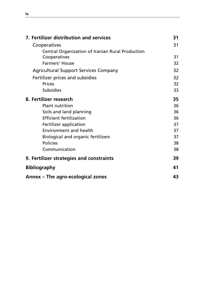| 7. Fertilizer distribution and services          |    |  |
|--------------------------------------------------|----|--|
| Cooperatives                                     | 31 |  |
| Central Organization of Iranian Rural Production |    |  |
| Cooperatives                                     | 31 |  |
| <b>Farmers' House</b>                            | 32 |  |
| <b>Agricultural Support Services Company</b>     | 32 |  |
| Fertilizer prices and subsidies                  | 32 |  |
| <b>Prices</b>                                    | 32 |  |
| <b>Subsidies</b>                                 | 33 |  |
| 8. Fertilizer research                           | 35 |  |
| <b>Plant nutrition</b>                           | 36 |  |
| Soils and land planning                          | 36 |  |
| <b>Efficient fertilization</b>                   | 36 |  |
| Fertilizer application                           | 37 |  |
| Environment and health                           | 37 |  |
| <b>Biological and organic fertilizers</b>        | 37 |  |
| <b>Policies</b>                                  | 38 |  |
| Communication                                    | 38 |  |
| 9. Fertilizer strategies and constraints         | 39 |  |
| <b>Bibliography</b>                              |    |  |
| Annex – The agro-ecological zones                |    |  |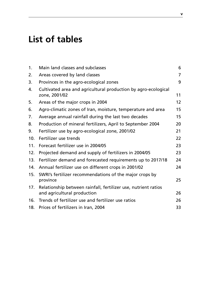## **List of tables**

| 1.              | Main land classes and subclasses                                                              | 6              |
|-----------------|-----------------------------------------------------------------------------------------------|----------------|
| 2.              | Areas covered by land classes                                                                 | $\overline{7}$ |
| 3.              | Provinces in the agro-ecological zones                                                        | 9              |
| 4.              | Cultivated area and agricultural production by agro-ecological<br>zone, 2001/02               | 11             |
| 5.              | Areas of the major crops in 2004                                                              | 12             |
| 6.              | Agro-climatic zones of Iran, moisture, temperature and area                                   | 15             |
| 7.              | Average annual rainfall during the last two decades                                           | 15             |
| 8.              | Production of mineral fertilizers, April to September 2004                                    | 20             |
| 9.              | Fertilizer use by agro-ecological zone, 2001/02                                               | 21             |
| 10 <sub>1</sub> | Fertilizer use trends                                                                         | 22             |
| 11.             | Forecast fertilizer use in 2004/05                                                            | 23             |
| 12.             | Projected demand and supply of fertilizers in 2004/05                                         | 23             |
| 13.             | Fertilizer demand and forecasted requirements up to 2017/18                                   | 24             |
| 14.             | Annual fertilizer use on different crops in 2001/02                                           | 24             |
| 15.             | SWRI's fertilizer recommendations of the major crops by<br>province                           | 25             |
| 17.             | Relationship between rainfall, fertilizer use, nutrient ratios<br>and agricultural production | 26             |
| 16.             | Trends of fertilizer use and fertilizer use ratios                                            | 26             |
| 18.             | Prices of fertilizers in Iran, 2004                                                           | 33             |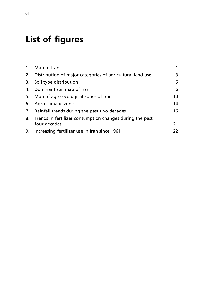## **List of figures**

|    | 1. Map of Iran                                               |    |
|----|--------------------------------------------------------------|----|
|    | 2. Distribution of major categories of agricultural land use | 3  |
| 3. | Soil type distribution                                       | 5  |
|    | 4. Dominant soil map of Iran                                 | 6  |
| 5. | Map of agro-ecological zones of Iran                         | 10 |
| 6. | Agro-climatic zones                                          | 14 |
|    | 7. Rainfall trends during the past two decades               | 16 |
|    | 8. Trends in fertilizer consumption changes during the past  |    |
|    | four decades                                                 | 21 |
| 9. | Increasing fertilizer use in Iran since 1961                 | 22 |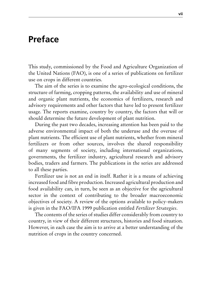#### **Preface**

This study, commissioned by the Food and Agriculture Organization of the United Nations (FAO), is one of a series of publications on fertilizer use on crops in different countries.

The aim of the series is to examine the agro-ecological conditions, the structure of farming, cropping patterns, the availability and use of mineral and organic plant nutrients, the economics of fertilizers, research and advisory requirements and other factors that have led to present fertilizer usage. The reports examine, country by country, the factors that will or should determine the future development of plant nutrition.

During the past two decades, increasing attention has been paid to the adverse environmental impact of both the underuse and the overuse of plant nutrients. The efficient use of plant nutrients, whether from mineral fertilizers or from other sources, involves the shared responsibility of many segments of society, including international organizations, governments, the fertilizer industry, agricultural research and advisory bodies, traders and farmers. The publications in the series are addressed to all these parties.

Fertilizer use is not an end in itself. Rather it is a means of achieving increased food and fibre production. Increased agricultural production and food availability can, in turn, be seen as an objective for the agricultural sector in the context of contributing to the broader macroeconomic objectives of society. A review of the options available to policy-makers is given in the FAO/IFA 1999 publication entitled *Fertilizer Strategies*.

The contents of the series of studies differ considerably from country to country, in view of their different structures, histories and food situation. However, in each case the aim is to arrive at a better understanding of the nutrition of crops in the country concerned.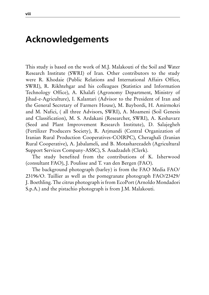#### **Acknowledgements**

This study is based on the work of M.J. Malakouti of the Soil and Water Research Institute (SWRI) of Iran. Other contributors to the study were R. Khodaie (Public Relations and International Affairs Office, SWRI), R. Rikhtehgar and his colleagues (Statistics and Information Technology Office), A. Khalafi (Agronomy Department, Ministry of Jihad-e-Agriculture), I. Kalantari (Advisor to the President of Iran and the General Secretary of Farmers House), M. Baybordi, H. Amirmokri and M. Nafici, ( all three Advisors, SWRI), A. Moameni (Soil Genesis and Classification), M. S. Ardakani (Researcher, SWRI), A. Keshavarz (Seed and Plant Improvement Research Institute), D. Salajegheh (Fertilizer Producers Society), R. Arjmandi (Central Organization of Iranian Rural Production Cooperatives-COIRPC), Cheraghali (Iranian Rural Cooperative), A. Jabalameli, and B. Motasharezadeh (Agricultural Support Services Company-ASSC), S. Asadzadeh (Clerk).

The study benefited from the contributions of K. Isherwood (consultant FAO), J. Poulisse and T. van den Bergen (FAO).

The background photograph (barley) is from the FAO Media FAO/ 23196/O. Tuillier as well as the pomegranate photograph FAO/23429/ J. Boethling. The citrus photograph is from EcoPort (Arnoldo Mondadori S.p.A.) and the pistachio photograph is from J.M. Malakouti.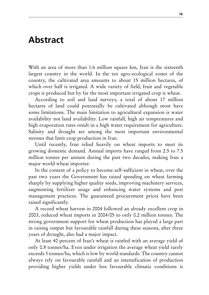#### **Abstract**

With an area of more than 1.6 million square km, Iran is the sixteenth largest country in the world. In the ten agro-ecological zones of the country, the cultivated area amounts to about 15 million hectares, of which over half is irrigated. A wide variety of field, fruit and vegetable crops is produced but by far the most important irrigated crop is wheat.

According to soil and land surveys, a total of about 17 million hectares of land could potentially be cultivated although most have some limitations. The main limitation to agricultural expansion is water availability not land availability. Low rainfall, high air temperatures and high evaporation rates result in a high water requirement for agriculture. Salinity and drought are among the most important environmental stresses that limit crop production in Iran.

Until recently, Iran relied heavily on wheat imports to meet its growing domestic demand. Annual imports have ranged from 2.5 to 7.5 million tonnes per annum during the past two decades, making Iran a major world wheat importer.

In the context of a policy to become self-sufficient in wheat, over the past two years the Government has raised spending on wheat farming sharply by supplying higher quality seeds, improving machinery services, augmenting fertilizer usage and enhancing water systems and pest management practices. The guaranteed procurement prices have been raised significantly.

A record wheat harvest in 2004 followed an already excellent crop in 2003, reduced wheat imports in 2004/05 to only 0.2 million tonnes. The strong government support for wheat production has played a large part in raising output but favourable rainfall during these seasons, after three years of drought, also had a major impact.

At least 40 percent of Iran's wheat is rainfed with an average yield of only 0.8 tonnes/ha. Even under irrigation the average wheat yield rarely exceeds 3 tonnes/ha, which is low by world standards. The country cannot always rely on favourable rainfall and an intensification of production providing higher yields under less favourable climatic conditions is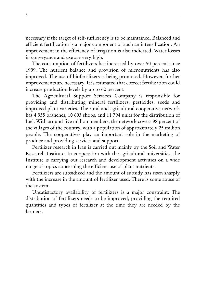necessary if the target of self-sufficiency is to be maintained. Balanced and efficient fertilization is a major component of such an intensification. An improvement in the efficiency of irrigation is also indicated. Water losses in conveyance and use are very high.

The consumption of fertilizers has increased by over 50 percent since 1999. The nutrient balance and provision of micronutrients has also improved. The use of biofertilizers is being promoted. However, further improvements are necessary. It is estimated that correct fertilization could increase production levels by up to 60 percent.

The Agricultural Support Services Company is responsible for providing and distributing mineral fertilizers, pesticides, seeds and improved plant varieties. The rural and agricultural cooperative network has 4 935 branches, 10 693 shops, and 11 794 units for the distribution of fuel. With around five million members, the network covers 98 percent of the villages of the country, with a population of approximately 25 million people. The cooperatives play an important role in the marketing of produce and providing services and support.

Fertilizer research in Iran is carried out mainly by the Soil and Water Research Institute. In cooperation with the agricultural universities, the Institute is carrying out research and development activities on a wide range of topics concerning the efficient use of plant nutrients.

Fertilizers are subsidized and the amount of subsidy has risen sharply with the increase in the amount of fertilizer used. There is some abuse of the system.

Unsatisfactory availability of fertilizers is a major constraint. The distribution of fertilizers needs to be improved, providing the required quantities and types of fertilizer at the time they are needed by the farmers.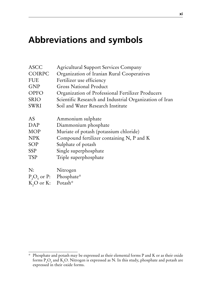#### **Abbreviations and symbols**

| <b>ASCC</b>                    | <b>Agricultural Support Services Company</b>            |
|--------------------------------|---------------------------------------------------------|
| COIRPC                         | Organization of Iranian Rural Cooperatives              |
| <b>FUE</b>                     | Fertilizer use efficiency                               |
| <b>GNP</b>                     | <b>Gross National Product</b>                           |
| <b>OPFO</b>                    | Organization of Professional Fertilizer Producers       |
| <b>SRIO</b>                    | Scientific Research and Industrial Organization of Iran |
| <b>SWRI</b>                    | Soil and Water Research Institute                       |
| AS                             | Ammonium sulphate                                       |
| DAP                            | Diammonium phosphate                                    |
| <b>MOP</b>                     | Muriate of potash (potassium chloride)                  |
| <b>NPK</b>                     | Compound fertilizer containing N, P and K               |
| <b>SOP</b>                     | Sulphate of potash                                      |
| <b>SSP</b>                     | Single superphosphate                                   |
| TSP                            | Triple superphosphate                                   |
| N:                             | Nitrogen                                                |
|                                | $P_2O_5$ or P: Phosphate*                               |
| K <sub>2</sub> O or K: Potash* |                                                         |

<sup>\*</sup> Phosphate and potash may be expressed as their elemental forms P and K or as their oxide forms  $P_2O_5$  and K<sub>2</sub>O. Nitrogen is expressed as N. In this study, phosphate and potash are expressed in their oxide forms.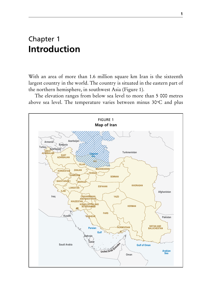#### Chapter 1 **Introduction**

With an area of more than 1.6 million square km Iran is the sixteenth largest country in the world. The country is situated in the eastern part of the northern hemisphere, in southwest Asia (Figure 1).

The elevation ranges from below sea level to more than 5 000 metres above sea level. The temperature varies between minus  $30^{\circ}$ C and plus

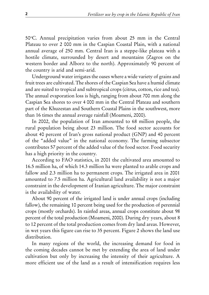50o C. Annual precipitation varies from about 25 mm in the Central Plateau to over 2 000 mm in the Caspian Coastal Plain, with a national annual average of 250 mm. Central Iran is a steppe-like plateau with a hostile climate, surrounded by desert and mountains (Zagros on the western border and Alborz to the north). Approximately 90 percent of the country is arid and semi-arid.

Underground water irrigates the oases where a wide variety of grains and fruit trees are cultivated. The shores of the Caspian Sea have a humid climate and are suited to tropical and subtropical crops (citrus, cotton, rice and tea). The annual evaporation loss is high, ranging from about 700 mm along the Caspian Sea shores to over 4 000 mm in the Central Plateau and southern part of the Khuzestan and Southern Coastal Plains in the southwest, more than 16 times the annual average rainfall (Moameni, 2000).

In 2002, the population of Iran amounted to 68 million people, the rural population being about 23 million. The food sector accounts for about 40 percent of Iran's gross national product (GNP) and 40 percent of the "added value" in the national economy. The farming subsector contributes 57 percent of the added value of the food sector. Food security has a high priority in the country.

According to FAO statistics, in 2001 the cultivated area amounted to 16.5 million ha, of which 14.3 million ha were planted to arable crops and fallow and 2.3 million ha to permanent crops. The irrigated area in 2001 amounted to 7.5 million ha. Agricultural land availability is not a major constraint in the development of Iranian agriculture. The major constraint is the availability of water.

About 90 percent of the irrigated land is under annual crops (including fallow), the remaining 10 percent being used for the production of perennial crops (mostly orchards). In rainfed areas, annual crops constitute about 98 percent of the total production (Moameni, 2000). During dry years, about 8 to 12 percent of the total production comes from dry land areas. However, in wet years this figure can rise to 35 percent. Figure 2 shows the land use distribution.

In many regions of the world, the increasing demand for food in the coming decades cannot be met by extending the area of land under cultivation but only by increasing the intensity of their agriculture. A more efficient use of the land as a result of intensification requires less